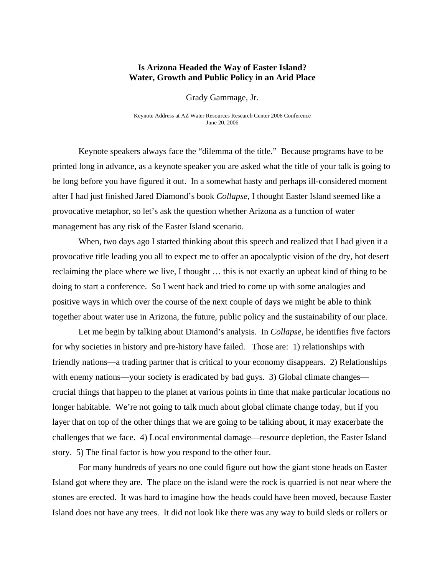## **Is Arizona Headed the Way of Easter Island? Water, Growth and Public Policy in an Arid Place**

Grady Gammage, Jr.

Keynote Address at AZ Water Resources Research Center 2006 Conference June 20, 2006

Keynote speakers always face the "dilemma of the title." Because programs have to be printed long in advance, as a keynote speaker you are asked what the title of your talk is going to be long before you have figured it out. In a somewhat hasty and perhaps ill-considered moment after I had just finished Jared Diamond's book *Collapse*, I thought Easter Island seemed like a provocative metaphor, so let's ask the question whether Arizona as a function of water management has any risk of the Easter Island scenario.

When, two days ago I started thinking about this speech and realized that I had given it a provocative title leading you all to expect me to offer an apocalyptic vision of the dry, hot desert reclaiming the place where we live, I thought … this is not exactly an upbeat kind of thing to be doing to start a conference. So I went back and tried to come up with some analogies and positive ways in which over the course of the next couple of days we might be able to think together about water use in Arizona, the future, public policy and the sustainability of our place.

Let me begin by talking about Diamond's analysis. In *Collapse,* he identifies five factors for why societies in history and pre-history have failed. Those are: 1) relationships with friendly nations—a trading partner that is critical to your economy disappears. 2) Relationships with enemy nations—your society is eradicated by bad guys. 3) Global climate changes crucial things that happen to the planet at various points in time that make particular locations no longer habitable. We're not going to talk much about global climate change today, but if you layer that on top of the other things that we are going to be talking about, it may exacerbate the challenges that we face. 4) Local environmental damage—resource depletion, the Easter Island story. 5) The final factor is how you respond to the other four.

For many hundreds of years no one could figure out how the giant stone heads on Easter Island got where they are. The place on the island were the rock is quarried is not near where the stones are erected. It was hard to imagine how the heads could have been moved, because Easter Island does not have any trees. It did not look like there was any way to build sleds or rollers or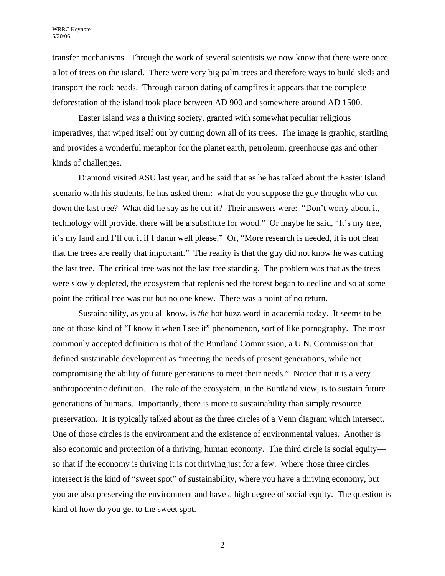transfer mechanisms. Through the work of several scientists we now know that there were once a lot of trees on the island. There were very big palm trees and therefore ways to build sleds and transport the rock heads. Through carbon dating of campfires it appears that the complete deforestation of the island took place between AD 900 and somewhere around AD 1500.

Easter Island was a thriving society, granted with somewhat peculiar religious imperatives, that wiped itself out by cutting down all of its trees. The image is graphic, startling and provides a wonderful metaphor for the planet earth, petroleum, greenhouse gas and other kinds of challenges.

Diamond visited ASU last year, and he said that as he has talked about the Easter Island scenario with his students, he has asked them: what do you suppose the guy thought who cut down the last tree? What did he say as he cut it? Their answers were: "Don't worry about it, technology will provide, there will be a substitute for wood." Or maybe he said, "It's my tree, it's my land and I'll cut it if I damn well please." Or, "More research is needed, it is not clear that the trees are really that important." The reality is that the guy did not know he was cutting the last tree. The critical tree was not the last tree standing. The problem was that as the trees were slowly depleted, the ecosystem that replenished the forest began to decline and so at some point the critical tree was cut but no one knew. There was a point of no return.

Sustainability, as you all know, is *the* hot buzz word in academia today. It seems to be one of those kind of "I know it when I see it" phenomenon, sort of like pornography. The most commonly accepted definition is that of the Buntland Commission, a U.N. Commission that defined sustainable development as "meeting the needs of present generations, while not compromising the ability of future generations to meet their needs." Notice that it is a very anthropocentric definition. The role of the ecosystem, in the Buntland view, is to sustain future generations of humans. Importantly, there is more to sustainability than simply resource preservation. It is typically talked about as the three circles of a Venn diagram which intersect. One of those circles is the environment and the existence of environmental values. Another is also economic and protection of a thriving, human economy. The third circle is social equity so that if the economy is thriving it is not thriving just for a few. Where those three circles intersect is the kind of "sweet spot" of sustainability, where you have a thriving economy, but you are also preserving the environment and have a high degree of social equity. The question is kind of how do you get to the sweet spot.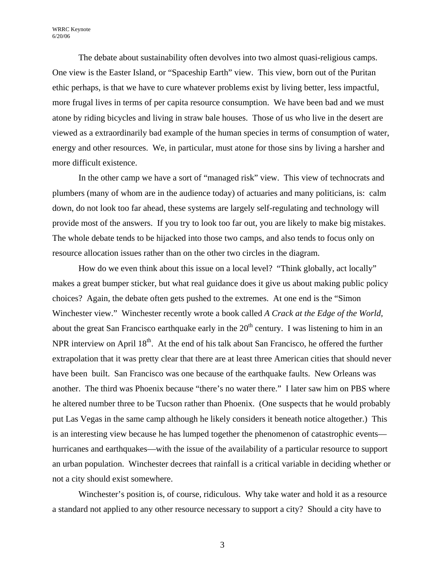WRRC Keynote 6/20/06

 The debate about sustainability often devolves into two almost quasi-religious camps. One view is the Easter Island, or "Spaceship Earth" view. This view, born out of the Puritan ethic perhaps, is that we have to cure whatever problems exist by living better, less impactful, more frugal lives in terms of per capita resource consumption. We have been bad and we must atone by riding bicycles and living in straw bale houses. Those of us who live in the desert are viewed as a extraordinarily bad example of the human species in terms of consumption of water, energy and other resources. We, in particular, must atone for those sins by living a harsher and more difficult existence.

 In the other camp we have a sort of "managed risk" view. This view of technocrats and plumbers (many of whom are in the audience today) of actuaries and many politicians, is: calm down, do not look too far ahead, these systems are largely self-regulating and technology will provide most of the answers. If you try to look too far out, you are likely to make big mistakes. The whole debate tends to be hijacked into those two camps, and also tends to focus only on resource allocation issues rather than on the other two circles in the diagram.

How do we even think about this issue on a local level? "Think globally, act locally" makes a great bumper sticker, but what real guidance does it give us about making public policy choices? Again, the debate often gets pushed to the extremes. At one end is the "Simon Winchester view." Winchester recently wrote a book called *A Crack at the Edge of the World,* about the great San Francisco earthquake early in the  $20<sup>th</sup>$  century. I was listening to him in an NPR interview on April  $18<sup>th</sup>$ . At the end of his talk about San Francisco, he offered the further extrapolation that it was pretty clear that there are at least three American cities that should never have been built. San Francisco was one because of the earthquake faults. New Orleans was another. The third was Phoenix because "there's no water there." I later saw him on PBS where he altered number three to be Tucson rather than Phoenix. (One suspects that he would probably put Las Vegas in the same camp although he likely considers it beneath notice altogether.) This is an interesting view because he has lumped together the phenomenon of catastrophic events hurricanes and earthquakes—with the issue of the availability of a particular resource to support an urban population. Winchester decrees that rainfall is a critical variable in deciding whether or not a city should exist somewhere.

Winchester's position is, of course, ridiculous. Why take water and hold it as a resource a standard not applied to any other resource necessary to support a city? Should a city have to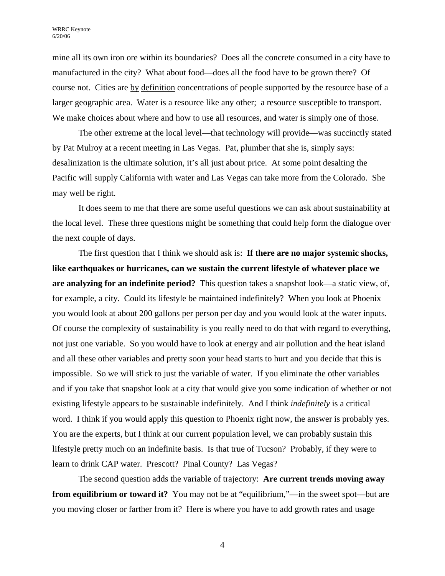mine all its own iron ore within its boundaries? Does all the concrete consumed in a city have to manufactured in the city? What about food—does all the food have to be grown there? Of course not. Cities are by definition concentrations of people supported by the resource base of a larger geographic area. Water is a resource like any other; a resource susceptible to transport. We make choices about where and how to use all resources, and water is simply one of those.

The other extreme at the local level—that technology will provide—was succinctly stated by Pat Mulroy at a recent meeting in Las Vegas. Pat, plumber that she is, simply says: desalinization is the ultimate solution, it's all just about price. At some point desalting the Pacific will supply California with water and Las Vegas can take more from the Colorado. She may well be right.

It does seem to me that there are some useful questions we can ask about sustainability at the local level. These three questions might be something that could help form the dialogue over the next couple of days.

The first question that I think we should ask is: **If there are no major systemic shocks, like earthquakes or hurricanes, can we sustain the current lifestyle of whatever place we are analyzing for an indefinite period?** This question takes a snapshot look—a static view, of, for example, a city. Could its lifestyle be maintained indefinitely? When you look at Phoenix you would look at about 200 gallons per person per day and you would look at the water inputs. Of course the complexity of sustainability is you really need to do that with regard to everything, not just one variable. So you would have to look at energy and air pollution and the heat island and all these other variables and pretty soon your head starts to hurt and you decide that this is impossible. So we will stick to just the variable of water. If you eliminate the other variables and if you take that snapshot look at a city that would give you some indication of whether or not existing lifestyle appears to be sustainable indefinitely. And I think *indefinitely* is a critical word. I think if you would apply this question to Phoenix right now, the answer is probably yes. You are the experts, but I think at our current population level, we can probably sustain this lifestyle pretty much on an indefinite basis. Is that true of Tucson? Probably, if they were to learn to drink CAP water. Prescott? Pinal County? Las Vegas?

The second question adds the variable of trajectory: **Are current trends moving away from equilibrium or toward it?** You may not be at "equilibrium,"—in the sweet spot—but are you moving closer or farther from it? Here is where you have to add growth rates and usage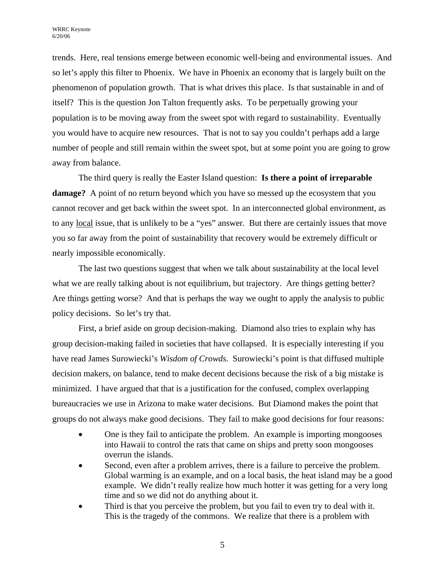trends. Here, real tensions emerge between economic well-being and environmental issues. And so let's apply this filter to Phoenix. We have in Phoenix an economy that is largely built on the phenomenon of population growth. That is what drives this place. Is that sustainable in and of itself? This is the question Jon Talton frequently asks. To be perpetually growing your population is to be moving away from the sweet spot with regard to sustainability. Eventually you would have to acquire new resources. That is not to say you couldn't perhaps add a large number of people and still remain within the sweet spot, but at some point you are going to grow away from balance.

The third query is really the Easter Island question: **Is there a point of irreparable damage?** A point of no return beyond which you have so messed up the ecosystem that you cannot recover and get back within the sweet spot. In an interconnected global environment, as to any local issue, that is unlikely to be a "yes" answer. But there are certainly issues that move you so far away from the point of sustainability that recovery would be extremely difficult or nearly impossible economically.

The last two questions suggest that when we talk about sustainability at the local level what we are really talking about is not equilibrium, but trajectory. Are things getting better? Are things getting worse? And that is perhaps the way we ought to apply the analysis to public policy decisions. So let's try that.

First, a brief aside on group decision-making. Diamond also tries to explain why has group decision-making failed in societies that have collapsed. It is especially interesting if you have read James Surowiecki's *Wisdom of Crowds*. Surowiecki's point is that diffused multiple decision makers, on balance, tend to make decent decisions because the risk of a big mistake is minimized. I have argued that that is a justification for the confused, complex overlapping bureaucracies we use in Arizona to make water decisions. But Diamond makes the point that groups do not always make good decisions. They fail to make good decisions for four reasons:

- One is they fail to anticipate the problem. An example is importing mongooses into Hawaii to control the rats that came on ships and pretty soon mongooses overrun the islands.
- Second, even after a problem arrives, there is a failure to perceive the problem. Global warming is an example, and on a local basis, the heat island may be a good example. We didn't really realize how much hotter it was getting for a very long time and so we did not do anything about it.
- Third is that you perceive the problem, but you fail to even try to deal with it. This is the tragedy of the commons. We realize that there is a problem with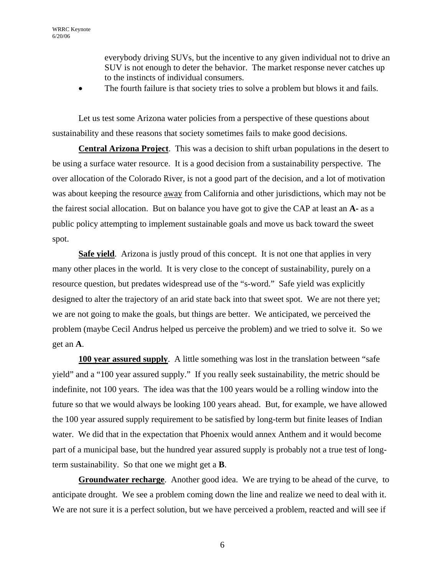everybody driving SUVs, but the incentive to any given individual not to drive an SUV is not enough to deter the behavior. The market response never catches up to the instincts of individual consumers.

The fourth failure is that society tries to solve a problem but blows it and fails.

Let us test some Arizona water policies from a perspective of these questions about sustainability and these reasons that society sometimes fails to make good decisions.

**Central Arizona Project**. This was a decision to shift urban populations in the desert to be using a surface water resource. It is a good decision from a sustainability perspective. The over allocation of the Colorado River, is not a good part of the decision, and a lot of motivation was about keeping the resource away from California and other jurisdictions, which may not be the fairest social allocation. But on balance you have got to give the CAP at least an **A-** as a public policy attempting to implement sustainable goals and move us back toward the sweet spot.

**Safe yield.** Arizona is justly proud of this concept. It is not one that applies in very many other places in the world. It is very close to the concept of sustainability, purely on a resource question, but predates widespread use of the "s-word." Safe yield was explicitly designed to alter the trajectory of an arid state back into that sweet spot. We are not there yet; we are not going to make the goals, but things are better. We anticipated, we perceived the problem (maybe Cecil Andrus helped us perceive the problem) and we tried to solve it. So we get an **A**.

**100 year assured supply.** A little something was lost in the translation between "safe" yield" and a "100 year assured supply." If you really seek sustainability, the metric should be indefinite, not 100 years. The idea was that the 100 years would be a rolling window into the future so that we would always be looking 100 years ahead. But, for example, we have allowed the 100 year assured supply requirement to be satisfied by long-term but finite leases of Indian water. We did that in the expectation that Phoenix would annex Anthem and it would become part of a municipal base, but the hundred year assured supply is probably not a true test of longterm sustainability. So that one we might get a **B**.

**Groundwater recharge**. Another good idea. We are trying to be ahead of the curve, to anticipate drought. We see a problem coming down the line and realize we need to deal with it. We are not sure it is a perfect solution, but we have perceived a problem, reacted and will see if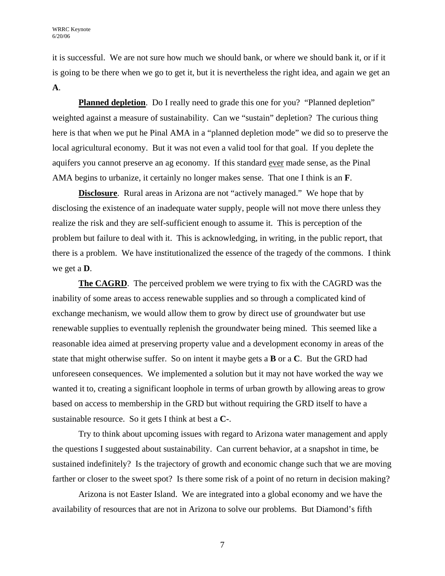it is successful. We are not sure how much we should bank, or where we should bank it, or if it is going to be there when we go to get it, but it is nevertheless the right idea, and again we get an **A**.

**Planned depletion**. Do I really need to grade this one for you? "Planned depletion" weighted against a measure of sustainability. Can we "sustain" depletion? The curious thing here is that when we put he Pinal AMA in a "planned depletion mode" we did so to preserve the local agricultural economy. But it was not even a valid tool for that goal. If you deplete the aquifers you cannot preserve an ag economy. If this standard <u>ever</u> made sense, as the Pinal AMA begins to urbanize, it certainly no longer makes sense. That one I think is an **F**.

**Disclosure.** Rural areas in Arizona are not "actively managed." We hope that by disclosing the existence of an inadequate water supply, people will not move there unless they realize the risk and they are self-sufficient enough to assume it. This is perception of the problem but failure to deal with it. This is acknowledging, in writing, in the public report, that there is a problem. We have institutionalized the essence of the tragedy of the commons. I think we get a **D**.

**The CAGRD**. The perceived problem we were trying to fix with the CAGRD was the inability of some areas to access renewable supplies and so through a complicated kind of exchange mechanism, we would allow them to grow by direct use of groundwater but use renewable supplies to eventually replenish the groundwater being mined. This seemed like a reasonable idea aimed at preserving property value and a development economy in areas of the state that might otherwise suffer. So on intent it maybe gets a **B** or a **C**. But the GRD had unforeseen consequences. We implemented a solution but it may not have worked the way we wanted it to, creating a significant loophole in terms of urban growth by allowing areas to grow based on access to membership in the GRD but without requiring the GRD itself to have a sustainable resource. So it gets I think at best a **C-**.

Try to think about upcoming issues with regard to Arizona water management and apply the questions I suggested about sustainability. Can current behavior, at a snapshot in time, be sustained indefinitely? Is the trajectory of growth and economic change such that we are moving farther or closer to the sweet spot? Is there some risk of a point of no return in decision making?

Arizona is not Easter Island. We are integrated into a global economy and we have the availability of resources that are not in Arizona to solve our problems. But Diamond's fifth